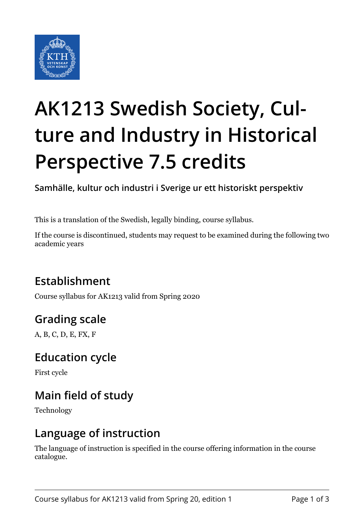

# **AK1213 Swedish Society, Culture and Industry in Historical Perspective 7.5 credits**

**Samhälle, kultur och industri i Sverige ur ett historiskt perspektiv**

This is a translation of the Swedish, legally binding, course syllabus.

If the course is discontinued, students may request to be examined during the following two academic years

# **Establishment**

Course syllabus for AK1213 valid from Spring 2020

# **Grading scale**

A, B, C, D, E, FX, F

#### **Education cycle**

First cycle

# **Main field of study**

Technology

#### **Language of instruction**

The language of instruction is specified in the course offering information in the course catalogue.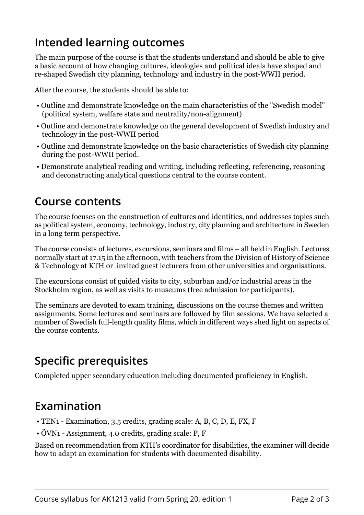## **Intended learning outcomes**

The main purpose of the course is that the students understand and should be able to give a basic account of how changing cultures, ideologies and political ideals have shaped and re-shaped Swedish city planning, technology and industry in the post-WWII period.

After the course, the students should be able to:

- Outline and demonstrate knowledge on the main characteristics of the "Swedish model" (political system, welfare state and neutrality/non-alignment)
- Outline and demonstrate knowledge on the general development of Swedish industry and technology in the post-WWII period
- Outline and demonstrate knowledge on the basic characteristics of Swedish city planning during the post-WWII period.
- Demonstrate analytical reading and writing, including reflecting, referencing, reasoning and deconstructing analytical questions central to the course content.

#### **Course contents**

The course focuses on the construction of cultures and identities, and addresses topics such as political system, economy, technology, industry, city planning and architecture in Sweden in a long term perspective.

The course consists of lectures, excursions, seminars and films – all held in English. Lectures normally start at 17.15 in the afternoon, with teachers from the Division of History of Science & Technology at KTH or invited guest lecturers from other universities and organisations.

The excursions consist of guided visits to city, suburban and/or industrial areas in the Stockholm region, as well as visits to museums (free admission for participants).

The seminars are devoted to exam training, discussions on the course themes and written assignments. Some lectures and seminars are followed by film sessions. We have selected a number of Swedish full-length quality films, which in different ways shed light on aspects of the course contents.

# **Specific prerequisites**

Completed upper secondary education including documented proficiency in English.

### **Examination**

- TEN1 Examination, 3.5 credits, grading scale: A, B, C, D, E, FX, F
- ÖVN1 Assignment, 4.0 credits, grading scale: P, F

Based on recommendation from KTH's coordinator for disabilities, the examiner will decide how to adapt an examination for students with documented disability.